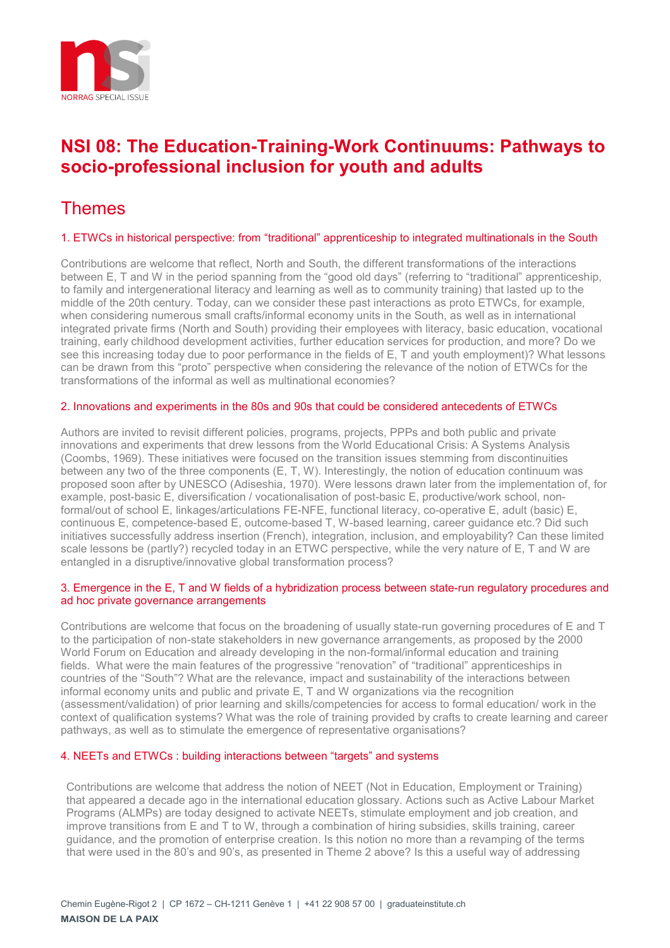

## **NSI 08: The Education-Training-Work Continuums: Pathways to socio-professional inclusion for youth and adults**

# Themes

## 1. ETWCs in historical perspective: from "traditional" apprenticeship to integrated multinationals in the South

Contributions are welcome that reflect, North and South, the different transformations of the interactions between E, T and W in the period spanning from the "good old days" (referring to "traditional" apprenticeship, to family and intergenerational literacy and learning as well as to community training) that lasted up to the middle of the 20th century. Today, can we consider these past interactions as proto ETWCs, for example, when considering numerous small crafts/informal economy units in the South, as well as in international integrated private firms (North and South) providing their employees with literacy, basic education, vocational training, early childhood development activities, further education services for production, and more? Do we see this increasing today due to poor performance in the fields of E, T and youth employment)? What lessons can be drawn from this "proto" perspective when considering the relevance of the notion of ETWCs for the transformations of the informal as well as multinational economies?

## 2. Innovations and experiments in the 80s and 90s that could be considered antecedents of ETWCs

Authors are invited to revisit different policies, programs, projects, PPPs and both public and private innovations and experiments that drew lessons from the World Educational Crisis: A Systems Analysis (Coombs, 1969). These initiatives were focused on the transition issues stemming from discontinuities between any two of the three components (E, T, W). Interestingly, the notion of education continuum was proposed soon after by UNESCO (Adiseshia, 1970). Were lessons drawn later from the implementation of, for example, post-basic E, diversification / vocationalisation of post-basic E, productive/work school, nonformal/out of school E, linkages/articulations FE-NFE, functional literacy, co-operative E, adult (basic) E, continuous E, competence-based E, outcome-based T, W-based learning, career guidance etc.? Did such initiatives successfully address insertion (French), integration, inclusion, and employability? Can these limited scale lessons be (partly?) recycled today in an ETWC perspective, while the very nature of E, T and W are entangled in a disruptive/innovative global transformation process?

### 3. Emergence in the E, T and W fields of a hybridization process between state-run regulatory procedures and ad hoc private governance arrangements

Contributions are welcome that focus on the broadening of usually state-run governing procedures of E and T to the participation of non-state stakeholders in new governance arrangements, as proposed by the 2000 World Forum on Education and already developing in the non-formal/informal education and training fields. What were the main features of the progressive "renovation" of "traditional" apprenticeships in countries of the "South"? What are the relevance, impact and sustainability of the interactions between informal economy units and public and private E, T and W organizations via the recognition (assessment/validation) of prior learning and skills/competencies for access to formal education/ work in the context of qualification systems? What was the role of training provided by crafts to create learning and career pathways, as well as to stimulate the emergence of representative organisations?

#### 4. NEETs and ETWCs : building interactions between "targets" and systems

Contributions are welcome that address the notion of NEET (Not in Education, Employment or Training) that appeared a decade ago in the international education glossary. Actions such as Active Labour Market Programs (ALMPs) are today designed to activate NEETs, stimulate employment and job creation, and improve transitions from E and T to W, through a combination of hiring subsidies, skills training, career guidance, and the promotion of enterprise creation. Is this notion no more than a revamping of the terms that were used in the 80's and 90's, as presented in Theme 2 above? Is this a useful way of addressing